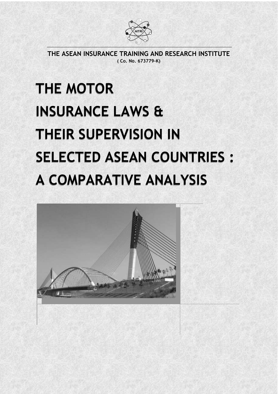

THE ASEAN INSURANCE TRAINING AND RESEARCH INSTITUTE ( Co. No. 673779-K)

# THE MOTOR THE MOTOR INSURANCE LAWS & INSURANCE LAWS & THEIR SUPERVISION IN THEIR SUPERVISION IN SELECTED ASEAN COUNTRIES : SELECTED ASEAN COUNTRIES : A COMPARATIVE ANALYSIS A COMPARATIVE ANALYSIS

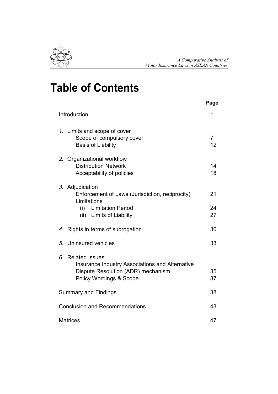

# Table of Contents

|                                             |                                                                                                                                                      | Page                 |  |  |  |  |
|---------------------------------------------|------------------------------------------------------------------------------------------------------------------------------------------------------|----------------------|--|--|--|--|
|                                             | Introduction                                                                                                                                         | 1                    |  |  |  |  |
|                                             | 1. Limits and scope of cover<br>Scope of compulsory cover<br><b>Basis of Liability</b>                                                               | $\overline{7}$<br>12 |  |  |  |  |
|                                             | 2. Organizational workflow<br><b>Distribution Network</b><br>Acceptability of policies                                                               | 14<br>18             |  |  |  |  |
|                                             | 3. Adjudication<br>Enforcement of Laws (Jurisdiction, reciprocity)<br>Limitations<br>(i)<br><b>Limitation Period</b><br>(ii) Limits of Liability     | 21<br>24<br>27       |  |  |  |  |
| 4.                                          | Rights in terms of subrogation                                                                                                                       | 30                   |  |  |  |  |
| 5.                                          | Uninsured vehicles                                                                                                                                   | 33                   |  |  |  |  |
| 6.                                          | <b>Related Issues</b><br>Insurance Industry Associations and Alternative<br>Dispute Resolution (ADR) mechanism<br><b>Policy Wordings &amp; Scope</b> | 35<br>37             |  |  |  |  |
|                                             | <b>Summary and Findings</b>                                                                                                                          | 38                   |  |  |  |  |
| <b>Conclusion and Recommendations</b><br>43 |                                                                                                                                                      |                      |  |  |  |  |
|                                             | <b>Matrices</b>                                                                                                                                      | 47                   |  |  |  |  |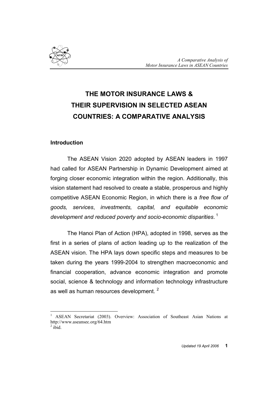

# THE MOTOR INSURANCE LAWS & THEIR SUPERVISION IN SELECTED ASEAN COUNTRIES: A COMPARATIVE ANALYSIS

#### Introduction

 $\overline{a}$ 

The ASEAN Vision 2020 adopted by ASEAN leaders in 1997 had called for ASEAN Partnership in Dynamic Development aimed at forging closer economic integration within the region. Additionally, this vision statement had resolved to create a stable, prosperous and highly competitive ASEAN Economic Region, in which there is a free flow of goods, services, investments, capital, and equitable economic development and reduced poverty and socio-economic disparities.  $^{\mathrm{1}}$ 

The Hanoi Plan of Action (HPA), adopted in 1998, serves as the first in a series of plans of action leading up to the realization of the ASEAN vision. The HPA lays down specific steps and measures to be taken during the years 1999-2004 to strengthen macroeconomic and financial cooperation, advance economic integration and promote social, science & technology and information technology infrastructure as well as human resources development.<sup>2</sup>

<sup>1</sup> ASEAN Secretariat (2003). Overview: Association of Southeast Asian Nations at http://www.aseansec.org/64.htm  $\overline{a}$  ibid.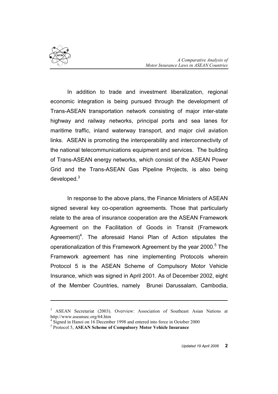

 $\overline{a}$ 

In addition to trade and investment liberalization, regional economic integration is being pursued through the development of Trans-ASEAN transportation network consisting of major inter-state highway and railway networks, principal ports and sea lanes for maritime traffic, inland waterway transport, and major civil aviation links. ASEAN is promoting the interoperability and interconnectivity of the national telecommunications equipment and services. The building of Trans-ASEAN energy networks, which consist of the ASEAN Power Grid and the Trans-ASEAN Gas Pipeline Projects, is also being developed.<sup>3</sup>

In response to the above plans, the Finance Ministers of ASEAN signed several key co-operation agreements. Those that particularly relate to the area of insurance cooperation are the ASEAN Framework Agreement on the Facilitation of Goods in Transit (Framework Agreement)<sup>4</sup>. The aforesaid Hanoi Plan of Action stipulates the operationalization of this Framework Agreement by the year 2000.<sup>5</sup> The Framework agreement has nine implementing Protocols wherein Protocol 5 is the ASEAN Scheme of Compulsory Motor Vehicle Insurance, which was signed in April 2001. As of December 2002, eight of the Member Countries, namely Brunei Darussalam, Cambodia,

<sup>&</sup>lt;sup>3</sup> ASEAN Secretariat (2003). Overview: Association of Southeast Asian Nations at http://www.aseansec.org/64.htm

<sup>&</sup>lt;sup>4</sup> Signed in Hanoi on 16 December 1998 and entered into force in October 2000

<sup>&</sup>lt;sup>5</sup> Protocol 5, ASEAN Scheme of Compulsory Motor Vehicle Insurance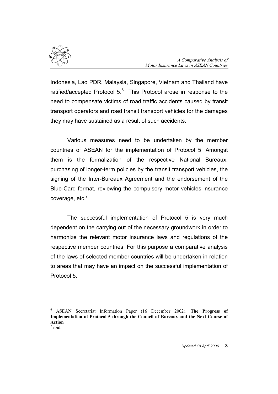

Indonesia, Lao PDR, Malaysia, Singapore, Vietnam and Thailand have ratified/accepted Protocol 5. $^6$  This Protocol arose in response to the need to compensate victims of road traffic accidents caused by transit transport operators and road transit transport vehicles for the damages they may have sustained as a result of such accidents.

Various measures need to be undertaken by the member countries of ASEAN for the implementation of Protocol 5. Amongst them is the formalization of the respective National Bureaux, purchasing of longer-term policies by the transit transport vehicles, the signing of the Inter-Bureaux Agreement and the endorsement of the Blue-Card format, reviewing the compulsory motor vehicles insurance coverage, etc.<sup>7</sup>

The successful implementation of Protocol 5 is very much dependent on the carrying out of the necessary groundwork in order to harmonize the relevant motor insurance laws and regulations of the respective member countries. For this purpose a comparative analysis of the laws of selected member countries will be undertaken in relation to areas that may have an impact on the successful implementation of Protocol 5:

 $\overline{a}$ 

<sup>&</sup>lt;sup>6</sup> ASEAN Secretariat Information Paper (16 December 2002). The Progress of Implementation of Protocol 5 through the Council of Bureaux and the Next Course of Action<br><sup>7</sup> ibid ibid.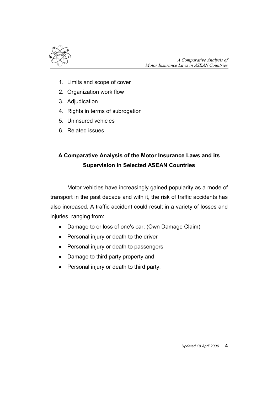

- 1. Limits and scope of cover
- 2. Organization work flow
- 3. Adjudication
- 4. Rights in terms of subrogation
- 5. Uninsured vehicles
- 6. Related issues

# A Comparative Analysis of the Motor Insurance Laws and its Supervision in Selected ASEAN Countries

Motor vehicles have increasingly gained popularity as a mode of transport in the past decade and with it, the risk of traffic accidents has also increased. A traffic accident could result in a variety of losses and injuries, ranging from:

- Damage to or loss of one's car; (Own Damage Claim)
- Personal injury or death to the driver
- Personal injury or death to passengers
- Damage to third party property and
- Personal injury or death to third party.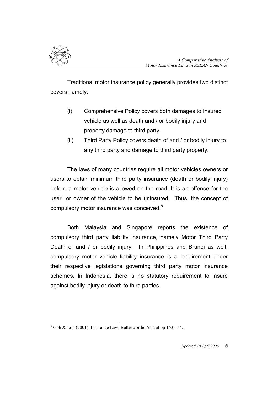

Traditional motor insurance policy generally provides two distinct covers namely:

- (i) Comprehensive Policy covers both damages to Insured vehicle as well as death and / or bodily injury and property damage to third party.
- (ii) Third Party Policy covers death of and / or bodily injury to any third party and damage to third party property.

The laws of many countries require all motor vehicles owners or users to obtain minimum third party insurance (death or bodily injury) before a motor vehicle is allowed on the road. It is an offence for the user or owner of the vehicle to be uninsured. Thus, the concept of compulsory motor insurance was conceived.<sup>8</sup>

Both Malaysia and Singapore reports the existence of compulsory third party liability insurance, namely Motor Third Party Death of and / or bodily injury. In Philippines and Brunei as well, compulsory motor vehicle liability insurance is a requirement under their respective legislations governing third party motor insurance schemes. In Indonesia, there is no statutory requirement to insure against bodily injury or death to third parties.

 $\overline{a}$  $8$  Goh & Loh (2001). Insurance Law, Butterworths Asia at pp 153-154.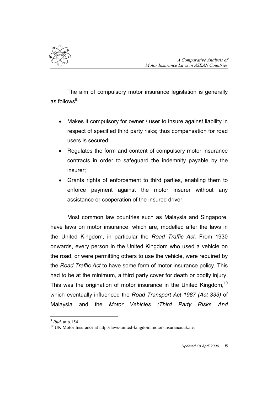

The aim of compulsory motor insurance legislation is generally as follows $^9$ :

- Makes it compulsory for owner / user to insure against liability in respect of specified third party risks; thus compensation for road users is secured;
- Regulates the form and content of compulsory motor insurance contracts in order to safeguard the indemnity payable by the insurer;
- Grants rights of enforcement to third parties, enabling them to enforce payment against the motor insurer without any assistance or cooperation of the insured driver.

Most common law countries such as Malaysia and Singapore, have laws on motor insurance, which are, modelled after the laws in the United Kingdom, in particular the Road Traffic Act. From 1930 onwards, every person in the United Kingdom who used a vehicle on the road, or were permitting others to use the vehicle, were required by the Road Traffic Act to have some form of motor insurance policy. This had to be at the minimum, a third party cover for death or bodily injury. This was the origination of motor insurance in the United Kingdom,<sup>10</sup> which eventually influenced the Road Transport Act 1987 (Act 333) of Malaysia and the Motor Vehicles (Third Party Risks And

 $\overline{a}$ 

 $<sup>9</sup>$  *Ibid.* at p.154</sup>

<sup>&</sup>lt;sup>10</sup> UK Motor Insurance at http://laws-united-kingdom.motor-insurance.uk.net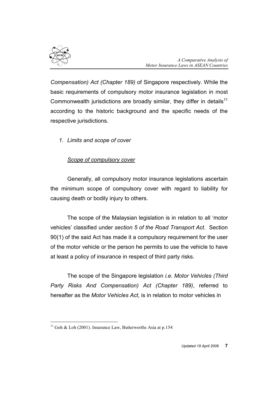

Compensation) Act (Chapter 189) of Singapore respectively. While the basic requirements of compulsory motor insurance legislation in most Commonwealth jurisdictions are broadly similar, they differ in details<sup>11</sup> according to the historic background and the specific needs of the respective jurisdictions.

1. Limits and scope of cover

# Scope of compulsory cover

Generally, all compulsory motor insurance legislations ascertain the minimum scope of compulsory cover with regard to liability for causing death or bodily injury to others.

The scope of the Malaysian legislation is in relation to all 'motor vehicles' classified under section 5 of the Road Transport Act. Section 90(1) of the said Act has made it a compulsory requirement for the user of the motor vehicle or the person he permits to use the vehicle to have at least a policy of insurance in respect of third party risks.

The scope of the Singapore legislation i.e. Motor Vehicles (Third Party Risks And Compensation) Act (Chapter 189), referred to hereafter as the Motor Vehicles Act, is in relation to motor vehicles in

 $\overline{a}$ <sup>11</sup> Goh & Loh (2001). Insurance Law, Butterworths Asia at p.154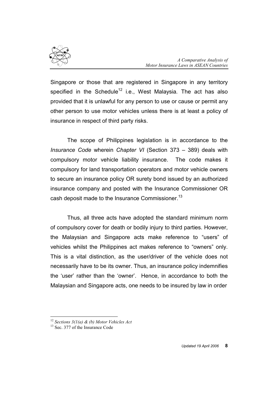

Singapore or those that are registered in Singapore in any territory specified in the Schedule<sup>12</sup> i.e., West Malaysia. The act has also provided that it is unlawful for any person to use or cause or permit any other person to use motor vehicles unless there is at least a policy of insurance in respect of third party risks.

The scope of Philippines legislation is in accordance to the Insurance Code wherein Chapter VI (Section 373 – 389) deals with compulsory motor vehicle liability insurance. The code makes it compulsory for land transportation operators and motor vehicle owners to secure an insurance policy OR surety bond issued by an authorized insurance company and posted with the Insurance Commissioner OR cash deposit made to the Insurance Commissioner.<sup>13</sup>

Thus, all three acts have adopted the standard minimum norm of compulsory cover for death or bodily injury to third parties. However, the Malaysian and Singapore acts make reference to "users" of vehicles whilst the Philippines act makes reference to "owners" only. This is a vital distinction, as the user/driver of the vehicle does not necessarily have to be its owner. Thus, an insurance policy indemnifies the 'user' rather than the 'owner'. Hence, in accordance to both the Malaysian and Singapore acts, one needs to be insured by law in order

 $\overline{a}$ 

<sup>&</sup>lt;sup>12</sup> Sections  $3(1(a) \& (b)$  Motor Vehicles Act

<sup>&</sup>lt;sup>13</sup> Sec. 377 of the Insurance Code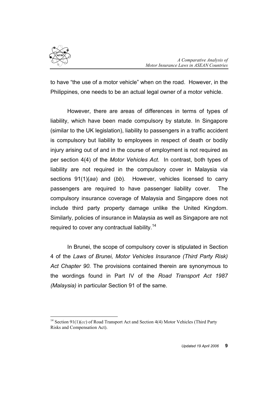

to have "the use of a motor vehicle" when on the road. However, in the Philippines, one needs to be an actual legal owner of a motor vehicle.

However, there are areas of differences in terms of types of liability, which have been made compulsory by statute. In Singapore (similar to the UK legislation), liability to passengers in a traffic accident is compulsory but liability to employees in respect of death or bodily injury arising out of and in the course of employment is not required as per section 4(4) of the Motor Vehicles Act. In contrast, both types of liability are not required in the compulsory cover in Malaysia via sections 91(1)(aa) and (bb). However, vehicles licensed to carry passengers are required to have passenger liability cover. The compulsory insurance coverage of Malaysia and Singapore does not include third party property damage unlike the United Kingdom. Similarly, policies of insurance in Malaysia as well as Singapore are not required to cover any contractual liability.<sup>14</sup>

In Brunei, the scope of compulsory cover is stipulated in Section 4 of the Laws of Brunei, Motor Vehicles Insurance (Third Party Risk) Act Chapter 90. The provisions contained therein are synonymous to the wordings found in Part IV of the Road Transport Act 1987 (Malaysia) in particular Section 91 of the same.

 $\overline{a}$ <sup>14</sup> Section 91(1)(*cc*) of Road Transport Act and Section 4(4) Motor Vehicles (Third Party Risks and Compensation Act).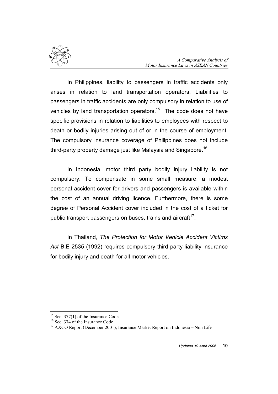

In Philippines, liability to passengers in traffic accidents only arises in relation to land transportation operators. Liabilities to passengers in traffic accidents are only compulsory in relation to use of vehicles by land transportation operators.<sup>15</sup> The code does not have specific provisions in relation to liabilities to employees with respect to death or bodily injuries arising out of or in the course of employment. The compulsory insurance coverage of Philippines does not include third-party property damage just like Malaysia and Singapore.<sup>16</sup>

In Indonesia, motor third party bodily injury liability is not compulsory. To compensate in some small measure, a modest personal accident cover for drivers and passengers is available within the cost of an annual driving licence. Furthermore, there is some degree of Personal Accident cover included in the cost of a ticket for public transport passengers on buses, trains and aircraft $17$ .

In Thailand, The Protection for Motor Vehicle Accident Victims Act B.E 2535 (1992) requires compulsory third party liability insurance for bodily injury and death for all motor vehicles.

 $\overline{a}$ 

 $15$  Sec. 377(1) of the Insurance Code

<sup>&</sup>lt;sup>16</sup> Sec. 374 of the Insurance Code

<sup>&</sup>lt;sup>17</sup> AXCO Report (December 2001), Insurance Market Report on Indonesia – Non Life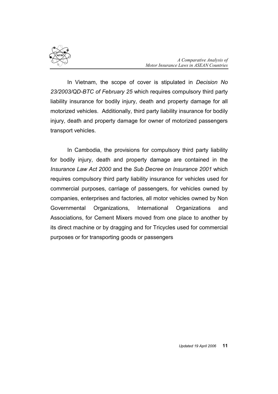

In Vietnam, the scope of cover is stipulated in Decision No 23/2003/QD-BTC of February 25 which requires compulsory third party liability insurance for bodily injury, death and property damage for all motorized vehicles. Additionally, third party liability insurance for bodily injury, death and property damage for owner of motorized passengers transport vehicles.

 In Cambodia, the provisions for compulsory third party liability for bodily injury, death and property damage are contained in the Insurance Law Act 2000 and the Sub Decree on Insurance 2001 which requires compulsory third party liability insurance for vehicles used for commercial purposes, carriage of passengers, for vehicles owned by companies, enterprises and factories, all motor vehicles owned by Non Governmental Organizations, International Organizations and Associations, for Cement Mixers moved from one place to another by its direct machine or by dragging and for Tricycles used for commercial purposes or for transporting goods or passengers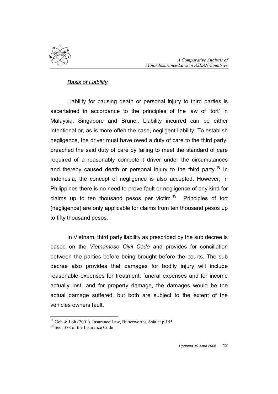

### Basis of Liability

Liability for causing death or personal injury to third parties is ascertained in accordance to the principles of the law of 'tort' in Malaysia, Singapore and Brunei. Liability incurred can be either intentional or, as is more often the case, negligent liability. To establish negligence, the driver must have owed a duty of care to the third party, breached the said duty of care by failing to meet the standard of care required of a reasonably competent driver under the circumstances and thereby caused death or personal injury to the third party.<sup>18</sup> In Indonesia, the concept of negligence is also accepted. However, in Philippines there is no need to prove fault or negligence of any kind for claims up to ten thousand pesos per victim.<sup>19</sup> Principles of tort (negligence) are only applicable for claims from ten thousand pesos up to fifty thousand pesos.

In Vietnam, third party liability as prescribed by the sub decree is based on the Vietnamese Civil Code and provides for conciliation between the parties before being brought before the courts. The sub decree also provides that damages for bodily injury will include reasonable expenses for treatment, funeral expenses and for income actually lost, and for property damage, the damages would be the actual damage suffered, but both are subject to the extent of the vehicles owners fault.

 $\overline{a}$ <sup>18</sup> Goh & Loh (2001). Insurance Law, Butterworths Asia at p.155

<sup>&</sup>lt;sup>19</sup> Sec. 378 of the Insurance Code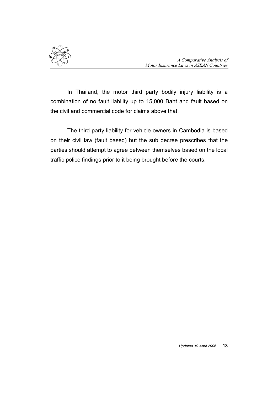

In Thailand, the motor third party bodily injury liability is a combination of no fault liability up to 15,000 Baht and fault based on the civil and commercial code for claims above that.

The third party liability for vehicle owners in Cambodia is based on their civil law (fault based) but the sub decree prescribes that the parties should attempt to agree between themselves based on the local traffic police findings prior to it being brought before the courts.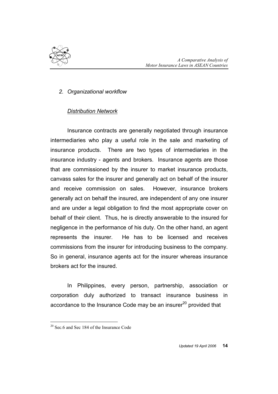

### 2. Organizational workflow

### Distribution Network

Insurance contracts are generally negotiated through insurance intermediaries who play a useful role in the sale and marketing of insurance products. There are two types of intermediaries in the insurance industry - agents and brokers. Insurance agents are those that are commissioned by the insurer to market insurance products, canvass sales for the insurer and generally act on behalf of the insurer and receive commission on sales. However, insurance brokers generally act on behalf the insured, are independent of any one insurer and are under a legal obligation to find the most appropriate cover on behalf of their client. Thus, he is directly answerable to the insured for negligence in the performance of his duty. On the other hand, an agent represents the insurer. He has to be licensed and receives commissions from the insurer for introducing business to the company. So in general, insurance agents act for the insurer whereas insurance brokers act for the insured.

In Philippines, every person, partnership, association or corporation duly authorized to transact insurance business in accordance to the Insurance Code may be an insure $r^{20}$  provided that

 $\overline{a}$ 

<sup>&</sup>lt;sup>20</sup> Sec.6 and Sec 184 of the Insurance Code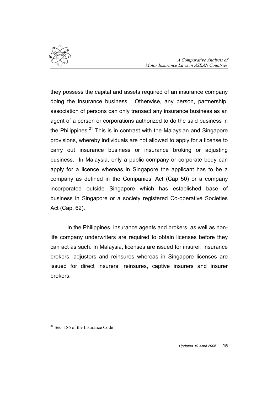

they possess the capital and assets required of an insurance company doing the insurance business. Otherwise, any person, partnership, association of persons can only transact any insurance business as an agent of a person or corporations authorized to do the said business in the Philippines.<sup>21</sup> This is in contrast with the Malaysian and Singapore provisions, whereby individuals are not allowed to apply for a license to carry out insurance business or insurance broking or adjusting business. In Malaysia, only a public company or corporate body can apply for a licence whereas in Singapore the applicant has to be a company as defined in the Companies' Act (Cap 50) or a company incorporated outside Singapore which has established base of business in Singapore or a society registered Co-operative Societies Act (Cap. 62).

In the Philippines, insurance agents and brokers, as well as nonlife company underwriters are required to obtain licenses before they can act as such. In Malaysia, licenses are issued for insurer, insurance brokers, adjustors and reinsures whereas in Singapore licenses are issued for direct insurers, reinsures, captive insurers and insurer brokers.

 $\overline{a}$ 

 $21$  Sec. 186 of the Insurance Code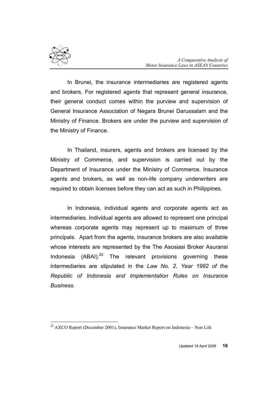

 $\overline{a}$ 

In Brunei, the insurance intermediaries are registered agents and brokers. For registered agents that represent general insurance, their general conduct comes within the purview and supervision of General Insurance Association of Negara Brunei Darussalam and the Ministry of Finance. Brokers are under the purview and supervision of the Ministry of Finance.

In Thailand, insurers, agents and brokers are licensed by the Ministry of Commerce, and supervision is carried out by the Department of Insurance under the Ministry of Commerce. Insurance agents and brokers, as well as non-life company underwriters are required to obtain licenses before they can act as such in Philippines.

In Indonesia, individual agents and corporate agents act as intermediaries. Individual agents are allowed to represent one principal whereas corporate agents may represent up to maximum of three principals. Apart from the agents, insurance brokers are also available whose interests are represented by the The Asosiasi Broker Asuransi Indonesia  $(ABAI).^{22}$  The relevant provisions governing these intermediaries are stipulated in the Law No. 2, Year 1992 of the Republic of Indonesia and Implementation Rules on Insurance **Business** 

 $22$  AXCO Report (December 2001), Insurance Market Report on Indonesia – Non Life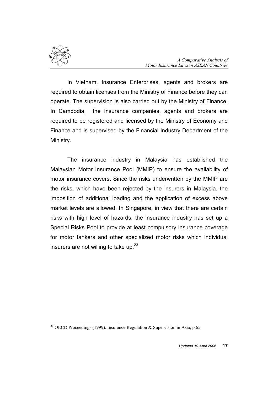

In Vietnam, Insurance Enterprises, agents and brokers are required to obtain licenses from the Ministry of Finance before they can operate. The supervision is also carried out by the Ministry of Finance. In Cambodia, the Insurance companies, agents and brokers are required to be registered and licensed by the Ministry of Economy and Finance and is supervised by the Financial Industry Department of the Ministry.

The insurance industry in Malaysia has established the Malaysian Motor Insurance Pool (MMIP) to ensure the availability of motor insurance covers. Since the risks underwritten by the MMIP are the risks, which have been rejected by the insurers in Malaysia, the imposition of additional loading and the application of excess above market levels are allowed. In Singapore, in view that there are certain risks with high level of hazards, the insurance industry has set up a Special Risks Pool to provide at least compulsory insurance coverage for motor tankers and other specialized motor risks which individual insurers are not willing to take up. $^{23}$ 

 $\overline{a}$ <sup>23</sup> OECD Proceedings (1999). Insurance Regulation & Supervision in Asia, p.65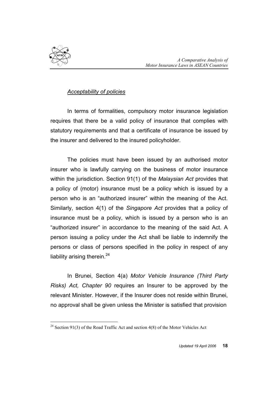

### Acceptability of policies

In terms of formalities, compulsory motor insurance legislation requires that there be a valid policy of insurance that complies with statutory requirements and that a certificate of insurance be issued by the insurer and delivered to the insured policyholder.

The policies must have been issued by an authorised motor insurer who is lawfully carrying on the business of motor insurance within the jurisdiction. Section 91(1) of the Malaysian Act provides that a policy of (motor) insurance must be a policy which is issued by a person who is an "authorized insurer" within the meaning of the Act. Similarly, section 4(1) of the Singapore Act provides that a policy of insurance must be a policy, which is issued by a person who is an "authorized insurer" in accordance to the meaning of the said Act. A person issuing a policy under the Act shall be liable to indemnify the persons or class of persons specified in the policy in respect of any liability arising therein. $^{24}$ 

In Brunei, Section 4(a) Motor Vehicle Insurance (Third Party Risks) Act, Chapter 90 requires an Insurer to be approved by the relevant Minister. However, if the Insurer does not reside within Brunei, no approval shall be given unless the Minister is satisfied that provision

 $\overline{a}$ <sup>24</sup> Section 91(3) of the Road Traffic Act and section 4(8) of the Motor Vehicles Act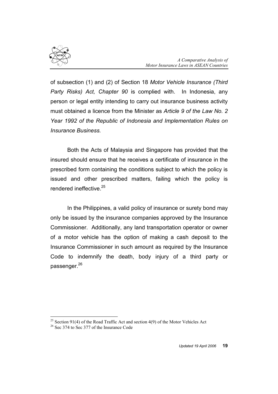

of subsection (1) and (2) of Section 18 Motor Vehicle Insurance (Third Party Risks) Act, Chapter 90 is complied with. In Indonesia, any person or legal entity intending to carry out insurance business activity must obtained a licence from the Minister as Article 9 of the Law No. 2 Year 1992 of the Republic of Indonesia and Implementation Rules on Insurance Business.

Both the Acts of Malaysia and Singapore has provided that the insured should ensure that he receives a certificate of insurance in the prescribed form containing the conditions subject to which the policy is issued and other prescribed matters, failing which the policy is rendered ineffective <sup>25</sup>

In the Philippines, a valid policy of insurance or surety bond may only be issued by the insurance companies approved by the Insurance Commissioner. Additionally, any land transportation operator or owner of a motor vehicle has the option of making a cash deposit to the Insurance Commissioner in such amount as required by the Insurance Code to indemnify the death, body injury of a third party or passenger.<sup>26</sup>

 $\overline{a}$ 

<sup>&</sup>lt;sup>25</sup> Section 91(4) of the Road Traffic Act and section 4(9) of the Motor Vehicles Act

<sup>&</sup>lt;sup>26</sup> Sec 374 to Sec 377 of the Insurance Code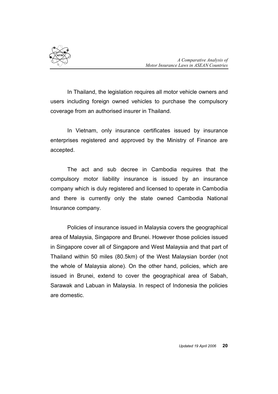

In Thailand, the legislation requires all motor vehicle owners and users including foreign owned vehicles to purchase the compulsory coverage from an authorised insurer in Thailand.

In Vietnam, only insurance certificates issued by insurance enterprises registered and approved by the Ministry of Finance are accepted.

The act and sub decree in Cambodia requires that the compulsory motor liability insurance is issued by an insurance company which is duly registered and licensed to operate in Cambodia and there is currently only the state owned Cambodia National Insurance company.

Policies of insurance issued in Malaysia covers the geographical area of Malaysia, Singapore and Brunei. However those policies issued in Singapore cover all of Singapore and West Malaysia and that part of Thailand within 50 miles (80.5km) of the West Malaysian border (not the whole of Malaysia alone). On the other hand, policies, which are issued in Brunei, extend to cover the geographical area of Sabah, Sarawak and Labuan in Malaysia. In respect of Indonesia the policies are domestic.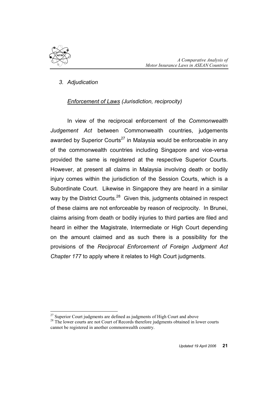

 $\overline{a}$ 

### 3. Adjudication

### Enforcement of Laws (Jurisdiction, reciprocity)

In view of the reciprocal enforcement of the Commonwealth Judgement Act between Commonwealth countries, judgements awarded by Superior Courts<sup>27</sup> in Malaysia would be enforceable in any of the commonwealth countries including Singapore and vice-versa provided the same is registered at the respective Superior Courts. However, at present all claims in Malaysia involving death or bodily injury comes within the jurisdiction of the Session Courts, which is a Subordinate Court. Likewise in Singapore they are heard in a similar way by the District Courts.<sup>28</sup> Given this, judgments obtained in respect of these claims are not enforceable by reason of reciprocity. In Brunei, claims arising from death or bodily injuries to third parties are filed and heard in either the Magistrate, Intermediate or High Court depending on the amount claimed and as such there is a possibility for the provisions of the Reciprocal Enforcement of Foreign Judgment Act Chapter 177 to apply where it relates to High Court judgments.

 $27$  Superior Court judgments are defined as judgments of High Court and above

<sup>&</sup>lt;sup>28</sup> The lower courts are not Court of Records therefore judgments obtained in lower courts cannot be registered in another commonwealth country.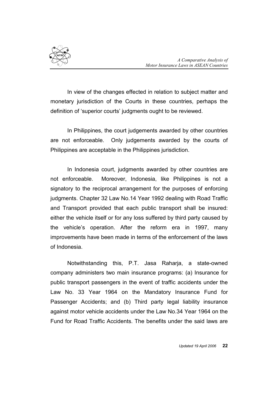

In view of the changes effected in relation to subject matter and monetary jurisdiction of the Courts in these countries, perhaps the definition of 'superior courts' judgments ought to be reviewed.

In Philippines, the court judgements awarded by other countries are not enforceable. Only judgements awarded by the courts of Philippines are acceptable in the Philippines jurisdiction.

In Indonesia court, judgments awarded by other countries are not enforceable. Moreover, Indonesia, like Philippines is not a signatory to the reciprocal arrangement for the purposes of enforcing judgments. Chapter 32 Law No.14 Year 1992 dealing with Road Traffic and Transport provided that each public transport shall be insured: either the vehicle itself or for any loss suffered by third party caused by the vehicle's operation. After the reform era in 1997, many improvements have been made in terms of the enforcement of the laws of Indonesia.

 Notwithstanding this, P.T. Jasa Raharja, a state-owned company administers two main insurance programs: (a) Insurance for public transport passengers in the event of traffic accidents under the Law No. 33 Year 1964 on the Mandatory Insurance Fund for Passenger Accidents; and (b) Third party legal liability insurance against motor vehicle accidents under the Law No.34 Year 1964 on the Fund for Road Traffic Accidents. The benefits under the said laws are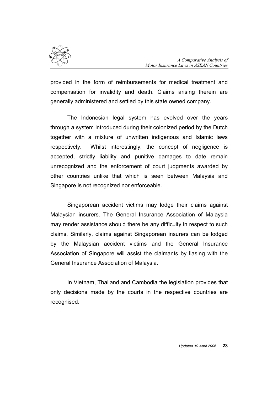

provided in the form of reimbursements for medical treatment and compensation for invalidity and death. Claims arising therein are generally administered and settled by this state owned company.

The Indonesian legal system has evolved over the years through a system introduced during their colonized period by the Dutch together with a mixture of unwritten indigenous and Islamic laws respectively. Whilst interestingly, the concept of negligence is accepted, strictly liability and punitive damages to date remain unrecognized and the enforcement of court judgments awarded by other countries unlike that which is seen between Malaysia and Singapore is not recognized nor enforceable.

Singaporean accident victims may lodge their claims against Malaysian insurers. The General Insurance Association of Malaysia may render assistance should there be any difficulty in respect to such claims. Similarly, claims against Singaporean insurers can be lodged by the Malaysian accident victims and the General Insurance Association of Singapore will assist the claimants by liasing with the General Insurance Association of Malaysia.

In Vietnam, Thailand and Cambodia the legislation provides that only decisions made by the courts in the respective countries are recognised.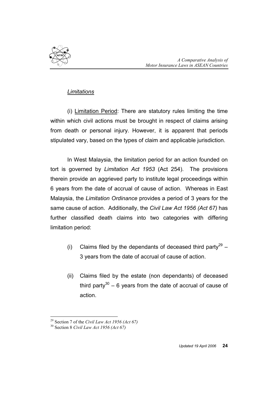

### **Limitations**

(i) Limitation Period: There are statutory rules limiting the time within which civil actions must be brought in respect of claims arising from death or personal injury. However, it is apparent that periods stipulated vary, based on the types of claim and applicable jurisdiction.

In West Malaysia, the limitation period for an action founded on tort is governed by Limitation Act 1953 (Act 254). The provisions therein provide an aggrieved party to institute legal proceedings within 6 years from the date of accrual of cause of action. Whereas in East Malaysia, the Limitation Ordinance provides a period of 3 years for the same cause of action. Additionally, the Civil Law Act 1956 (Act 67) has further classified death claims into two categories with differing limitation period:

- (i) Claims filed by the dependants of deceased third party<sup>29</sup> 3 years from the date of accrual of cause of action.
- (ii) Claims filed by the estate (non dependants) of deceased third party $30 - 6$  years from the date of accrual of cause of action.

 $\overline{a}$ <sup>29</sup> Section 7 of the Civil Law Act 1956 (Act 67)

<sup>30</sup> Section 8 Civil Law Act 1956 (Act 67)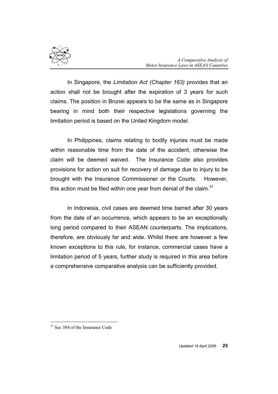

In Singapore, the Limitation Act (Chapter 163) provides that an action shall not be brought after the expiration of 3 years for such claims. The position in Brunei appears to be the same as in Singapore bearing in mind both their respective legislations governing the limitation period is based on the United Kingdom model.

In Philippines, claims relating to bodily injuries must be made within reasonable time from the date of the accident, otherwise the claim will be deemed waived. The Insurance Code also provides provisions for action on suit for recovery of damage due to injury to be brought with the Insurance Commissioner or the Courts. However, this action must be filed within one year from denial of the claim. $31$ 

In Indonesia, civil cases are deemed time barred after 30 years from the date of an occurrence, which appears to be an exceptionally long period compared to their ASEAN counterparts. The implications, therefore, are obviously far and wide. Whilst there are however a few known exceptions to this rule, for instance, commercial cases have a limitation period of 5 years, further study is required in this area before a comprehensive comparative analysis can be sufficiently provided.

 $\overline{a}$ 

<sup>&</sup>lt;sup>31</sup> Sec 384 of the Insurance Code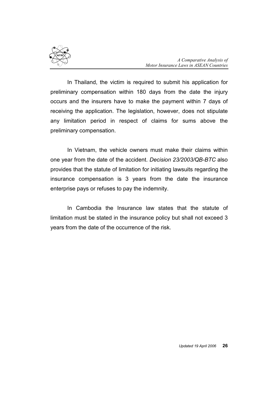

In Thailand, the victim is required to submit his application for preliminary compensation within 180 days from the date the injury occurs and the insurers have to make the payment within 7 days of receiving the application. The legislation, however, does not stipulate any limitation period in respect of claims for sums above the preliminary compensation.

In Vietnam, the vehicle owners must make their claims within one year from the date of the accident. Decision 23/2003/QB-BTC also provides that the statute of limitation for initiating lawsuits regarding the insurance compensation is 3 years from the date the insurance enterprise pays or refuses to pay the indemnity.

In Cambodia the Insurance law states that the statute of limitation must be stated in the insurance policy but shall not exceed 3 years from the date of the occurrence of the risk.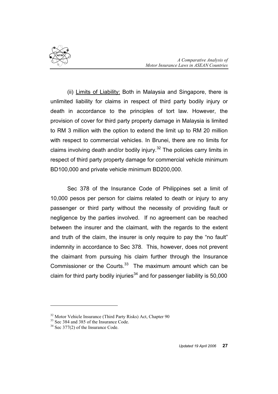

(ii) Limits of Liability: Both in Malaysia and Singapore, there is unlimited liability for claims in respect of third party bodily injury or death in accordance to the principles of tort law. However, the provision of cover for third party property damage in Malaysia is limited to RM 3 million with the option to extend the limit up to RM 20 million with respect to commercial vehicles. In Brunei, there are no limits for claims involving death and/or bodily injury. $32$  The policies carry limits in respect of third party property damage for commercial vehicle minimum BD100,000 and private vehicle minimum BD200,000.

Sec 378 of the Insurance Code of Philippines set a limit of 10,000 pesos per person for claims related to death or injury to any passenger or third party without the necessity of providing fault or negligence by the parties involved. If no agreement can be reached between the insurer and the claimant, with the regards to the extent and truth of the claim, the insurer is only require to pay the "no fault" indemnity in accordance to Sec 378. This, however, does not prevent the claimant from pursuing his claim further through the Insurance Commissioner or the Courts. $33$  The maximum amount which can be claim for third party bodily injuries<sup>34</sup> and for passenger liability is  $50,000$ 

 $\overline{a}$ 

<sup>&</sup>lt;sup>32</sup> Motor Vehicle Insurance (Third Party Risks) Act, Chapter 90

<sup>&</sup>lt;sup>33</sup> Sec 384 and 385 of the Insurance Code.

<sup>&</sup>lt;sup>34</sup> Sec 377(2) of the Insurance Code.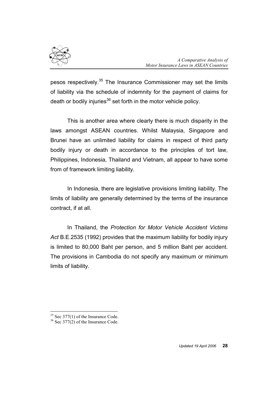

pesos respectively.<sup>35</sup> The Insurance Commissioner may set the limits of liability via the schedule of indemnity for the payment of claims for death or bodily injuries $36$  set forth in the motor vehicle policy.

This is another area where clearly there is much disparity in the laws amongst ASEAN countries. Whilst Malaysia, Singapore and Brunei have an unlimited liability for claims in respect of third party bodily injury or death in accordance to the principles of tort law, Philippines, Indonesia, Thailand and Vietnam, all appear to have some from of framework limiting liability.

In Indonesia, there are legislative provisions limiting liability. The limits of liability are generally determined by the terms of the insurance contract, if at all.

In Thailand, the Protection for Motor Vehicle Accident Victims Act B.E.2535 (1992) provides that the maximum liability for bodily injury is limited to 80,000 Baht per person, and 5 million Baht per accident. The provisions in Cambodia do not specify any maximum or minimum limits of liability.

 $\overline{a}$ 

 $35$  Sec 377(1) of the Insurance Code.

 $36$  Sec 377(2) of the Insurance Code.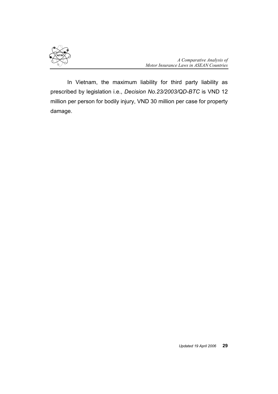

 In Vietnam, the maximum liability for third party liability as prescribed by legislation i.e., Decision No.23/2003/QD-BTC is VND 12 million per person for bodily injury, VND 30 million per case for property damage.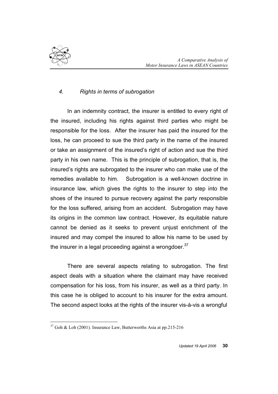

 $\overline{a}$ 

## 4. Rights in terms of subrogation

In an indemnity contract, the insurer is entitled to every right of the insured, including his rights against third parties who might be responsible for the loss. After the insurer has paid the insured for the loss, he can proceed to sue the third party in the name of the insured or take an assignment of the insured's right of action and sue the third party in his own name. This is the principle of subrogation, that is, the insured's rights are subrogated to the insurer who can make use of the remedies available to him. Subrogation is a well-known doctrine in insurance law, which gives the rights to the insurer to step into the shoes of the insured to pursue recovery against the party responsible for the loss suffered, arising from an accident. Subrogation may have its origins in the common law contract. However, its equitable nature cannot be denied as it seeks to prevent unjust enrichment of the insured and may compel the insured to allow his name to be used by the insurer in a legal proceeding against a wrongdoer. $^{37}$ 

There are several aspects relating to subrogation. The first aspect deals with a situation where the claimant may have received compensation for his loss, from his insurer, as well as a third party. In this case he is obliged to account to his insurer for the extra amount. The second aspect looks at the rights of the insurer vis-à-vis a wrongful

 $37$  Goh & Loh (2001). Insurance Law, Butterworths Asia at pp.215-216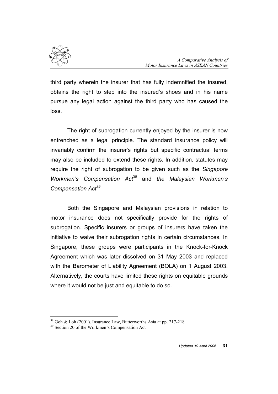

third party wherein the insurer that has fully indemnified the insured, obtains the right to step into the insured's shoes and in his name pursue any legal action against the third party who has caused the loss.

The right of subrogation currently enjoyed by the insurer is now entrenched as a legal principle. The standard insurance policy will invariably confirm the insurer's rights but specific contractual terms may also be included to extend these rights. In addition, statutes may require the right of subrogation to be given such as the Singapore Workmen's Compensation  $Act^{38}$  and the Malaysian Workmen's Compensation Act<sup>39</sup>

Both the Singapore and Malaysian provisions in relation to motor insurance does not specifically provide for the rights of subrogation. Specific insurers or groups of insurers have taken the initiative to waive their subrogation rights in certain circumstances. In Singapore, these groups were participants in the Knock-for-Knock Agreement which was later dissolved on 31 May 2003 and replaced with the Barometer of Liability Agreement (BOLA) on 1 August 2003. Alternatively, the courts have limited these rights on equitable grounds where it would not be just and equitable to do so.

 $\overline{a}$ <sup>38</sup> Goh & Loh (2001). Insurance Law, Butterworths Asia at pp. 217-218

<sup>&</sup>lt;sup>39</sup> Section 20 of the Workmen's Compensation Act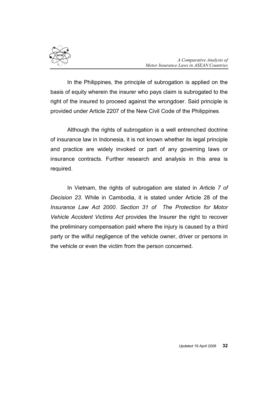

In the Philippines, the principle of subrogation is applied on the basis of equity wherein the insurer who pays claim is subrogated to the right of the insured to proceed against the wrongdoer. Said principle is provided under Article 2207 of the New Civil Code of the Philippines.

Although the rights of subrogation is a well entrenched doctrine of insurance law in Indonesia, it is not known whether its legal principle and practice are widely invoked or part of any governing laws or insurance contracts. Further research and analysis in this area is required.

In Vietnam, the rights of subrogation are stated in Article 7 of Decision 23. While in Cambodia, it is stated under Article 28 of the Insurance Law Act 2000. Section 31 of The Protection for Motor Vehicle Accident Victims Act provides the Insurer the right to recover the preliminary compensation paid where the injury is caused by a third party or the wilful negligence of the vehicle owner, driver or persons in the vehicle or even the victim from the person concerned.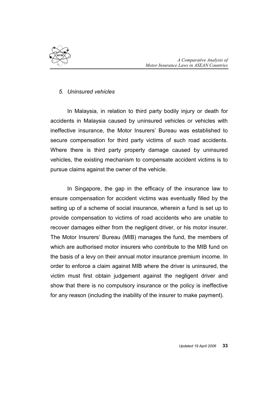

### 5. Uninsured vehicles

In Malaysia, in relation to third party bodily injury or death for accidents in Malaysia caused by uninsured vehicles or vehicles with ineffective insurance, the Motor Insurers' Bureau was established to secure compensation for third party victims of such road accidents. Where there is third party property damage caused by uninsured vehicles, the existing mechanism to compensate accident victims is to pursue claims against the owner of the vehicle.

In Singapore, the gap in the efficacy of the insurance law to ensure compensation for accident victims was eventually filled by the setting up of a scheme of social insurance, wherein a fund is set up to provide compensation to victims of road accidents who are unable to recover damages either from the negligent driver, or his motor insurer. The Motor Insurers' Bureau (MIB) manages the fund, the members of which are authorised motor insurers who contribute to the MIB fund on the basis of a levy on their annual motor insurance premium income. In order to enforce a claim against MIB where the driver is uninsured, the victim must first obtain judgement against the negligent driver and show that there is no compulsory insurance or the policy is ineffective for any reason (including the inability of the insurer to make payment).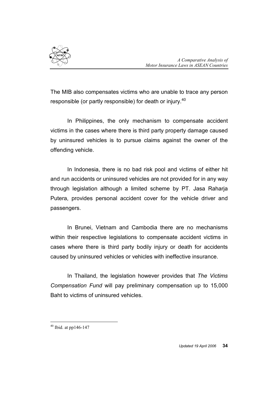

The MIB also compensates victims who are unable to trace any person responsible (or partly responsible) for death or injury.<sup>40</sup>

In Philippines, the only mechanism to compensate accident victims in the cases where there is third party property damage caused by uninsured vehicles is to pursue claims against the owner of the offending vehicle.

In Indonesia, there is no bad risk pool and victims of either hit and run accidents or uninsured vehicles are not provided for in any way through legislation although a limited scheme by PT. Jasa Raharja Putera, provides personal accident cover for the vehicle driver and passengers.

In Brunei, Vietnam and Cambodia there are no mechanisms within their respective legislations to compensate accident victims in cases where there is third party bodily injury or death for accidents caused by uninsured vehicles or vehicles with ineffective insurance.

In Thailand, the legislation however provides that The Victims Compensation Fund will pay preliminary compensation up to 15,000 Baht to victims of uninsured vehicles.

 $\overline{a}$  $40$  Ibid. at pp146-147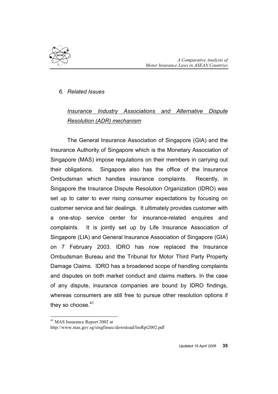

### 6. Related Issues

# Insurance Industry Associations and Alternative Dispute Resolution (ADR) mechanism

The General Insurance Association of Singapore (GIA) and the Insurance Authority of Singapore which is the Monetary Association of Singapore (MAS) impose regulations on their members in carrying out their obligations. Singapore also has the office of the Insurance Ombudsman which handles insurance complaints. Recently, in Singapore the Insurance Dispute Resolution Organization (IDRO) was set up to cater to ever rising consumer expectations by focusing on customer service and fair dealings. It ultimately provides customer with a one-stop service center for insurance-related enquires and complaints. It is jointly set up by Life Insurance Association of Singapore (LIA) and General Insurance Association of Singapore (GIA) on 7 February 2003. IDRO has now replaced the Insurance Ombudsman Bureau and the Tribunal for Motor Third Party Property Damage Claims. IDRO has a broadened scope of handling complaints and disputes on both market conduct and claims matters. In the case of any dispute, insurance companies are bound by IDRO findings, whereas consumers are still free to pursue other resolution options if they so choose.<sup>41</sup>

 $\overline{a}$ <sup>41</sup> MAS Insurance Report 2002 at

http://www.mas.gov.sg/singfinsec/download/InsRpt2002.pdf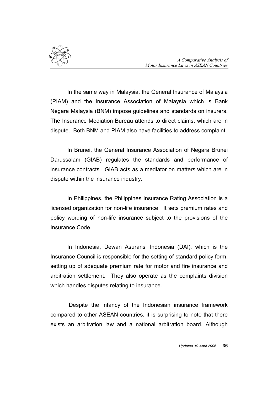

In the same way in Malaysia, the General Insurance of Malaysia (PIAM) and the Insurance Association of Malaysia which is Bank Negara Malaysia (BNM) impose guidelines and standards on insurers. The Insurance Mediation Bureau attends to direct claims, which are in dispute. Both BNM and PIAM also have facilities to address complaint.

In Brunei, the General Insurance Association of Negara Brunei Darussalam (GIAB) regulates the standards and performance of insurance contracts. GIAB acts as a mediator on matters which are in dispute within the insurance industry.

In Philippines, the Philippines Insurance Rating Association is a licensed organization for non-life insurance. It sets premium rates and policy wording of non-life insurance subject to the provisions of the Insurance Code.

In Indonesia, Dewan Asuransi Indonesia (DAI), which is the Insurance Council is responsible for the setting of standard policy form, setting up of adequate premium rate for motor and fire insurance and arbitration settlement. They also operate as the complaints division which handles disputes relating to insurance.

 Despite the infancy of the Indonesian insurance framework compared to other ASEAN countries, it is surprising to note that there exists an arbitration law and a national arbitration board. Although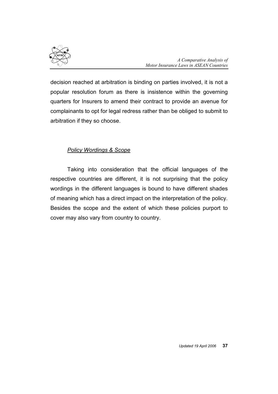

decision reached at arbitration is binding on parties involved, it is not a popular resolution forum as there is insistence within the governing quarters for Insurers to amend their contract to provide an avenue for complainants to opt for legal redress rather than be obliged to submit to arbitration if they so choose.

# Policy Wordings & Scope

Taking into consideration that the official languages of the respective countries are different, it is not surprising that the policy wordings in the different languages is bound to have different shades of meaning which has a direct impact on the interpretation of the policy. Besides the scope and the extent of which these policies purport to cover may also vary from country to country.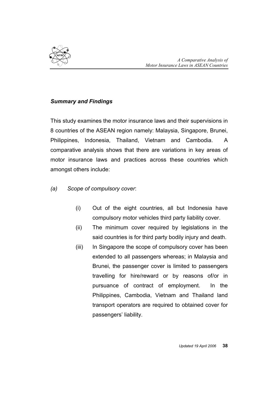

## Summary and Findings

This study examines the motor insurance laws and their supervisions in 8 countries of the ASEAN region namely: Malaysia, Singapore, Brunei, Philippines, Indonesia, Thailand, Vietnam and Cambodia. A comparative analysis shows that there are variations in key areas of motor insurance laws and practices across these countries which amongst others include:

- (a) Scope of compulsory cover:
	- (i) Out of the eight countries, all but Indonesia have compulsory motor vehicles third party liability cover.
	- (ii) The minimum cover required by legislations in the said countries is for third party bodily injury and death.
	- (iii) In Singapore the scope of compulsory cover has been extended to all passengers whereas; in Malaysia and Brunei, the passenger cover is limited to passengers travelling for hire/reward or by reasons of/or in pursuance of contract of employment. In the Philippines, Cambodia, Vietnam and Thailand land transport operators are required to obtained cover for passengers' liability.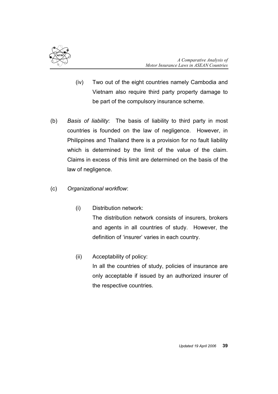

- (iv) Two out of the eight countries namely Cambodia and Vietnam also require third party property damage to be part of the compulsory insurance scheme.
- (b) Basis of liability: The basis of liability to third party in most countries is founded on the law of negligence. However, in Philippines and Thailand there is a provision for no fault liability which is determined by the limit of the value of the claim. Claims in excess of this limit are determined on the basis of the law of negligence.
- (c) Organizational workflow:
	- (i) Distribution network: The distribution network consists of insurers, brokers and agents in all countries of study. However, the definition of 'insurer' varies in each country.
	- (ii) Acceptability of policy: In all the countries of study, policies of insurance are only acceptable if issued by an authorized insurer of the respective countries.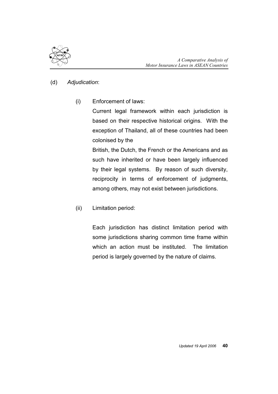

### (d) Adjudication:

(i) Enforcement of laws:

Current legal framework within each jurisdiction is based on their respective historical origins. With the exception of Thailand, all of these countries had been colonised by the

British, the Dutch, the French or the Americans and as such have inherited or have been largely influenced by their legal systems. By reason of such diversity, reciprocity in terms of enforcement of judgments, among others, may not exist between jurisdictions.

(ii) Limitation period:

Each jurisdiction has distinct limitation period with some jurisdictions sharing common time frame within which an action must be instituted. The limitation period is largely governed by the nature of claims.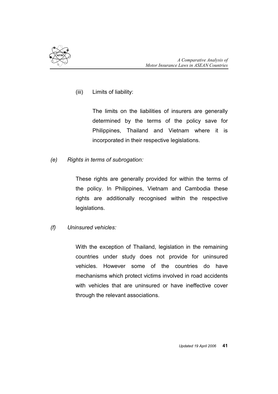

(iii) Limits of liability:

The limits on the liabilities of insurers are generally determined by the terms of the policy save for Philippines, Thailand and Vietnam where it is incorporated in their respective legislations.

(e) Rights in terms of subrogation:

These rights are generally provided for within the terms of the policy. In Philippines, Vietnam and Cambodia these rights are additionally recognised within the respective legislations.

(f) Uninsured vehicles:

With the exception of Thailand, legislation in the remaining countries under study does not provide for uninsured vehicles. However some of the countries do have mechanisms which protect victims involved in road accidents with vehicles that are uninsured or have ineffective cover through the relevant associations.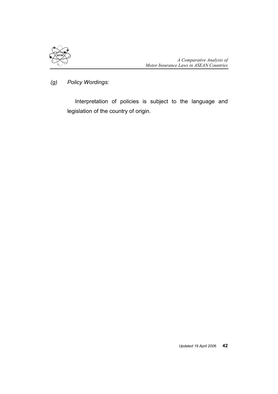

(g) Policy Wordings:

 Interpretation of policies is subject to the language and legislation of the country of origin.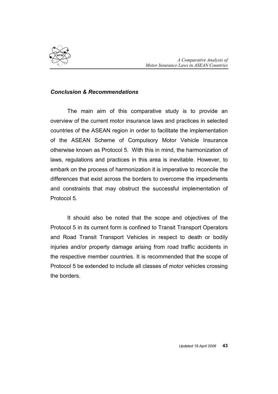

### Conclusion & Recommendations

The main aim of this comparative study is to provide an overview of the current motor insurance laws and practices in selected countries of the ASEAN region in order to facilitate the implementation of the ASEAN Scheme of Compulsory Motor Vehicle Insurance otherwise known as Protocol 5. With this in mind, the harmonization of laws, regulations and practices in this area is inevitable. However, to embark on the process of harmonization it is imperative to reconcile the differences that exist across the borders to overcome the impediments and constraints that may obstruct the successful implementation of Protocol 5.

It should also be noted that the scope and objectives of the Protocol 5 in its current form is confined to Transit Transport Operators and Road Transit Transport Vehicles in respect to death or bodily injuries and/or property damage arising from road traffic accidents in the respective member countries. It is recommended that the scope of Protocol 5 be extended to include all classes of motor vehicles crossing the borders.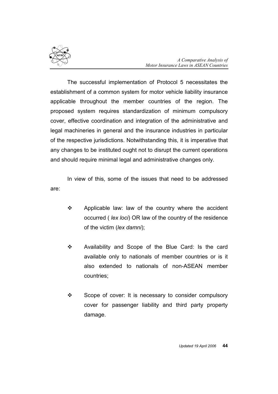

 The successful implementation of Protocol 5 necessitates the establishment of a common system for motor vehicle liability insurance applicable throughout the member countries of the region. The proposed system requires standardization of minimum compulsory cover, effective coordination and integration of the administrative and legal machineries in general and the insurance industries in particular of the respective jurisdictions. Notwithstanding this, it is imperative that any changes to be instituted ought not to disrupt the current operations and should require minimal legal and administrative changes only.

In view of this, some of the issues that need to be addressed are:

- $\div$  Applicable law: law of the country where the accident occurred ( lex loci) OR law of the country of the residence of the victim (lex damni);
- Availability and Scope of the Blue Card: Is the card available only to nationals of member countries or is it also extended to nationals of non-ASEAN member countries;
- $\div$  Scope of cover: It is necessary to consider compulsory cover for passenger liability and third party property damage.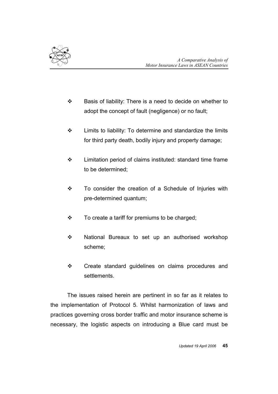

- $\div$  Basis of liability: There is a need to decide on whether to adopt the concept of fault (negligence) or no fault;
- $\div$  Limits to liability: To determine and standardize the limits for third party death, bodily injury and property damage;
- Limitation period of claims instituted: standard time frame to be determined;
- \* To consider the creation of a Schedule of Injuries with pre-determined quantum;
- $\div$  To create a tariff for premiums to be charged;
- $\div$  National Bureaux to set up an authorised workshop scheme;
- Create standard guidelines on claims procedures and settlements.

The issues raised herein are pertinent in so far as it relates to the implementation of Protocol 5. Whilst harmonization of laws and practices governing cross border traffic and motor insurance scheme is necessary, the logistic aspects on introducing a Blue card must be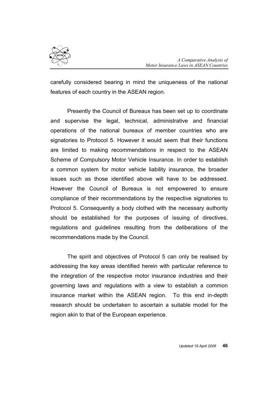

carefully considered bearing in mind the uniqueness of the national features of each country in the ASEAN region.

Presently the Council of Bureaux has been set up to coordinate and supervise the legal, technical, administrative and financial operations of the national bureaux of member countries who are signatories to Protocol 5. However it would seem that their functions are limited to making recommendations in respect to the ASEAN Scheme of Compulsory Motor Vehicle Insurance. In order to establish a common system for motor vehicle liability insurance, the broader issues such as those identified above will have to be addressed. However the Council of Bureaux is not empowered to ensure compliance of their recommendations by the respective signatories to Protocol 5. Consequently a body clothed with the necessary authority should be established for the purposes of issuing of directives, regulations and guidelines resulting from the deliberations of the recommendations made by the Council.

The spirit and objectives of Protocol 5 can only be realised by addressing the key areas identified herein with particular reference to the integration of the respective motor insurance industries and their governing laws and regulations with a view to establish a common insurance market within the ASEAN region. To this end in-depth research should be undertaken to ascertain a suitable model for the region akin to that of the European experience.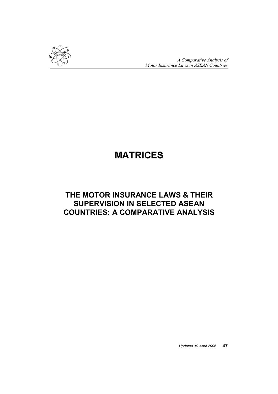

A Comparative Analysis of Motor Insurance Laws in ASEAN Countries

# MATRICES

# THE MOTOR INSURANCE LAWS & THEIR SUPERVISION IN SELECTED ASEAN COUNTRIES: A COMPARATIVE ANALYSIS

Updated 19 April 2006 47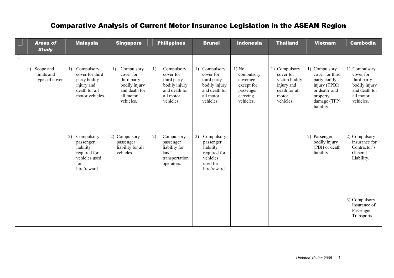| <b>Areas of</b><br><b>Study</b>              | <b>Malaysia</b>                                                                                       | <b>Singapore</b>                                                                                         | <b>Philippines</b>                                                                                       | <b>Brunei</b>                                                                                         | <b>Indonesia</b>                                                                    | <b>Thailand</b>                                                                                  | <b>Vietnam</b>                                                                                                              | <b>Cambodia</b>                                                                                       |
|----------------------------------------------|-------------------------------------------------------------------------------------------------------|----------------------------------------------------------------------------------------------------------|----------------------------------------------------------------------------------------------------------|-------------------------------------------------------------------------------------------------------|-------------------------------------------------------------------------------------|--------------------------------------------------------------------------------------------------|-----------------------------------------------------------------------------------------------------------------------------|-------------------------------------------------------------------------------------------------------|
| a) Scope and<br>limits and<br>types of cover | Compulsory<br>1)<br>cover for third<br>party bodily<br>injury and<br>death for all<br>motor vehicles. | Compulsory<br>1)<br>cover for<br>third party<br>bodily injury<br>and death for<br>all motor<br>vehicles. | 1)<br>Compulsory<br>cover for<br>third party<br>bodily injury<br>and death for<br>all motor<br>vehicles. | 1) Compulsory<br>cover for<br>third party<br>bodily injury<br>and death for<br>all motor<br>vehicles. | 1) No<br>compulsory<br>coverage<br>except for<br>passenger<br>carrying<br>vehicles. | 1) Compulsory<br>cover for<br>victim bodily<br>injury and<br>death for all<br>motor<br>vehicles. | 1) Compulsory<br>cover for third<br>party bodily<br>injury (TPBI)<br>or death and<br>property<br>damage (TPP)<br>liability. | 1) Compulsory<br>cover for<br>third party<br>bodily injury<br>and death for<br>all motor<br>vehicles. |
|                                              | 2)<br>Compulsory<br>passenger<br>liability<br>required for<br>vehicles used<br>for<br>hire/reward.    | 2) Compulsory<br>passenger<br>liability for all<br>vehicles.                                             | 2)<br>Compulsory<br>passenger<br>liability for<br>land<br>transportation<br>operators.                   | Compulsory<br>2)<br>passenger<br>liability<br>required for<br>vehicles<br>used for<br>hire/reward.    |                                                                                     |                                                                                                  | 2) Passenger<br>bodily injury<br>(PBI) or death<br>liability.                                                               | 2) Compulsory<br>insurance for<br>Contractor's<br>General<br>Liability.                               |
|                                              |                                                                                                       |                                                                                                          |                                                                                                          |                                                                                                       |                                                                                     |                                                                                                  |                                                                                                                             | 3) Compulsory<br>Insurance of<br>Passenger<br>Transports.                                             |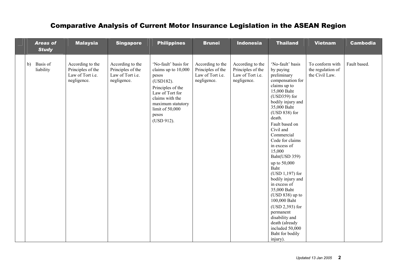| <b>Areas of</b><br><b>Study</b> | <b>Malaysia</b>                                                          | <b>Singapore</b>                                                         | <b>Philippines</b>                                                                                                                                                                          | <b>Brunei</b>                                                            | <b>Indonesia</b>                                                         | <b>Thailand</b>                                                                                                                                                                                                                                                                                                                                                                                                                                                                                                                                             | <b>Vietnam</b>                                         | <b>Cambodia</b> |
|---------------------------------|--------------------------------------------------------------------------|--------------------------------------------------------------------------|---------------------------------------------------------------------------------------------------------------------------------------------------------------------------------------------|--------------------------------------------------------------------------|--------------------------------------------------------------------------|-------------------------------------------------------------------------------------------------------------------------------------------------------------------------------------------------------------------------------------------------------------------------------------------------------------------------------------------------------------------------------------------------------------------------------------------------------------------------------------------------------------------------------------------------------------|--------------------------------------------------------|-----------------|
| b) Basis of<br>liability        | According to the<br>Principles of the<br>Law of Tort i.e.<br>negligence. | According to the<br>Principles of the<br>Law of Tort i.e.<br>negligence. | 'No-fault' basis for<br>claims up to 10,000<br>pesos<br>(USD182).<br>Principles of the<br>Law of Tort for<br>claims with the<br>maximum statutory<br>limit of 50,000<br>pesos<br>(USD 912). | According to the<br>Principles of the<br>Law of Tort i.e.<br>negligence. | According to the<br>Principles of the<br>Law of Tort i.e.<br>negligence. | 'No-fault' basis<br>by paying<br>preliminary<br>compensation for<br>claims up to<br>15,000 Baht<br>$(USD359)$ for<br>bodily injury and<br>35,000 Baht<br>$(USD 838)$ for<br>death.<br>Fault based on<br>Civil and<br>Commercial<br>Code for claims<br>in excess of<br>15,000<br>Baht(USD 359)<br>up to 50,000<br>Baht<br>$(USD 1,197)$ for<br>bodily injury and<br>in excess of<br>35,000 Baht<br>$(USD 838)$ up to<br>100,000 Baht<br>$(USD 2,393)$ for<br>permanent<br>disability and<br>death (already<br>included 50,000<br>Baht for bodily<br>injury). | To conform with<br>the regulation of<br>the Civil Law. | Fault based.    |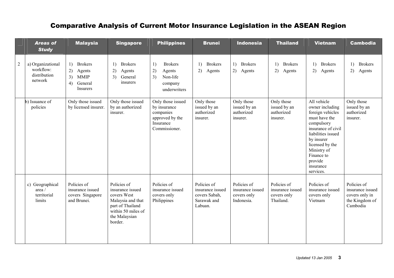|                | <b>Areas of</b><br><b>Study</b>                           | <b>Malaysia</b>                                                                        | <b>Singapore</b>                                                                                                                          | <b>Philippines</b>                                                                              | <b>Brunei</b>                                                              | <b>Indonesia</b>                                             | <b>Thailand</b>                                             | <b>Vietnam</b>                                                                                                                                                                                                                   | <b>Cambodia</b>                                                                 |
|----------------|-----------------------------------------------------------|----------------------------------------------------------------------------------------|-------------------------------------------------------------------------------------------------------------------------------------------|-------------------------------------------------------------------------------------------------|----------------------------------------------------------------------------|--------------------------------------------------------------|-------------------------------------------------------------|----------------------------------------------------------------------------------------------------------------------------------------------------------------------------------------------------------------------------------|---------------------------------------------------------------------------------|
| $\overline{c}$ | a) Organizational<br>workflow:<br>distribution<br>network | <b>Brokers</b><br>1)<br>2)<br>Agents<br>3)<br><b>MMIP</b><br>4)<br>General<br>Insurers | <b>Brokers</b><br>1)<br>2)<br>Agents<br>3)<br>General<br>insurers                                                                         | <b>Brokers</b><br>1)<br>2)<br>Agents<br>3)<br>Non-life<br>company<br>underwriters               | <b>Brokers</b><br>1)<br>2)<br>Agents                                       | 1) Brokers<br>2)<br>Agents                                   | $\left( \right)$<br><b>Brokers</b><br>2)<br>Agents          | 1)<br><b>Brokers</b><br>2)<br>Agents                                                                                                                                                                                             | <b>Brokers</b><br>1)<br>2)<br>Agents                                            |
|                | b) Issuance of<br>policies                                | Only those issued<br>by licensed insurer.                                              | Only those issued<br>by an authorized<br>insurer.                                                                                         | Only those issued<br>by insurance<br>companies<br>approved by the<br>Insurance<br>Commissioner. | Only those<br>issued by an<br>authorized<br>insurer.                       | Only those<br>issued by an<br>authorized<br>insurer.         | Only those<br>issued by an<br>authorized<br>insurer.        | All vehicle<br>owner including<br>foreign vehicles<br>must have the<br>compulsory<br>insurance of civil<br>liabilities issued<br>by insurer<br>licensed by the<br>Ministry of<br>Finance to<br>provide<br>insurance<br>services. | Only those<br>issued by an<br>authorized<br>insurer.                            |
|                | c) Geographical<br>area /<br>territorial<br>limits        | Policies of<br>insurance issued<br>covers Singapore<br>and Brunei.                     | Policies of<br>insurance issued<br>covers West<br>Malaysia and that<br>part of Thailand<br>within 50 miles of<br>the Malaysian<br>border. | Policies of<br>insurance issued<br>covers only<br>Philippines                                   | Policies of<br>insurance issued<br>covers Sabah,<br>Sarawak and<br>Labuan. | Policies of<br>insurance issued<br>covers only<br>Indonesia. | Policies of<br>insurance issued<br>covers only<br>Thailand. | Policies of<br>insurance issued<br>covers only<br>Vietnam                                                                                                                                                                        | Policies of<br>insurance issued<br>covers only in<br>the Kingdom of<br>Cambodia |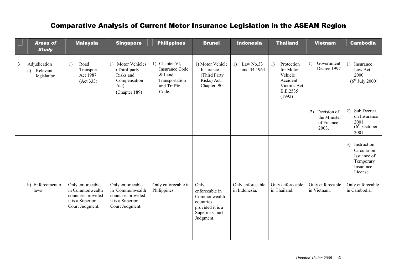|                | <b>Areas of</b><br><b>Study</b>               | <b>Malaysia</b>                                                                                  | <b>Singapore</b>                                                                                 | <b>Philippines</b>                                                                          | <b>Brunei</b>                                                                                                 | <b>Indonesia</b>                  | <b>Thailand</b>                                                                                  | <b>Vietnam</b>                                            | <b>Cambodia</b>                                                                    |
|----------------|-----------------------------------------------|--------------------------------------------------------------------------------------------------|--------------------------------------------------------------------------------------------------|---------------------------------------------------------------------------------------------|---------------------------------------------------------------------------------------------------------------|-----------------------------------|--------------------------------------------------------------------------------------------------|-----------------------------------------------------------|------------------------------------------------------------------------------------|
| $\overline{3}$ | Adjudication<br>Relevant<br>a)<br>legislation | 1)<br>Road<br>Transport<br>Act 1987<br>(Act 333)                                                 | 1) Motor Vehicles<br>(Third-party<br>Risks and<br>Compensation<br>Act)<br>(Chapter 189)          | 1) Chapter VI,<br><b>Insurance Code</b><br>& Land<br>Transportation<br>and Traffic<br>Code. | 1) Motor Vehicle<br>Insurance<br>(Third Party<br>Risks) Act,<br>Chapter 90                                    | 1) Law No.33<br>and 34 1964       | Protection<br>1)<br>for Motor<br>Vehicle<br>Accident<br>Victims Act<br><b>B.E.2535</b><br>(1992) | Government<br>1)<br>Decree 1997                           | 1) Insurance<br>Law Act<br>2000<br>$(6^{th}$ . July 2000)                          |
|                |                                               |                                                                                                  |                                                                                                  |                                                                                             |                                                                                                               |                                   |                                                                                                  | (2)<br>Decision of<br>the Minister<br>of Finance<br>2003. | 2) Sub Decree<br>on Insurance<br>2001<br>$(6^{th}$ October<br>2001                 |
|                |                                               |                                                                                                  |                                                                                                  |                                                                                             |                                                                                                               |                                   |                                                                                                  |                                                           | 3) Instruction<br>Circular on<br>Issuance of<br>Temporary<br>Insurance<br>License. |
|                | b) Enforcement of<br>laws                     | Only enforceable<br>in Commonwealth<br>countries provided<br>it is a Superior<br>Court Judgment. | Only enforceable<br>in Commonwealth<br>countries provided<br>it is a Superior<br>Court Judgment. | Only enforceable in<br>Philippines.                                                         | Only<br>enforceable in<br>Commonwealth<br>countries<br>provided it is a<br><b>Superior Court</b><br>Judgment. | Only enforceable<br>in Indonesia. | Only enforceable<br>in Thailand.                                                                 | Only enforceable<br>in Vietnam.                           | Only enforceable<br>in Cambodia.                                                   |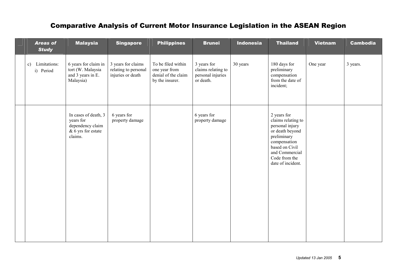| <b>Areas of</b><br><b>Study</b> | <b>Malaysia</b>                                                                        | <b>Singapore</b>                                                | <b>Philippines</b>                                                            | <b>Brunei</b>                                                       | <b>Indonesia</b> | <b>Thailand</b>                                                                                                                                                                  | <b>Vietnam</b> | <b>Cambodia</b> |
|---------------------------------|----------------------------------------------------------------------------------------|-----------------------------------------------------------------|-------------------------------------------------------------------------------|---------------------------------------------------------------------|------------------|----------------------------------------------------------------------------------------------------------------------------------------------------------------------------------|----------------|-----------------|
| Limitations:<br>c)<br>i) Period | 6 years for claim in<br>tort (W. Malaysia<br>and 3 years in E.<br>Malaysia)            | 3 years for claims<br>relating to personal<br>injuries or death | To be filed within<br>one year from<br>denial of the claim<br>by the insurer. | 3 years for<br>claims relating to<br>personal injuries<br>or death. | 30 years         | 180 days for<br>preliminary<br>compensation<br>from the date of<br>incident;                                                                                                     | One year       | 3 years.        |
|                                 | In cases of death, 3<br>years for<br>dependency claim<br>& 6 yrs for estate<br>claims. | 6 years for<br>property damage                                  |                                                                               | 6 years for<br>property damage                                      |                  | 2 years for<br>claims relating to<br>personal injury<br>or death beyond<br>preliminary<br>compensation<br>based on Civil<br>and Commercial<br>Code from the<br>date of incident. |                |                 |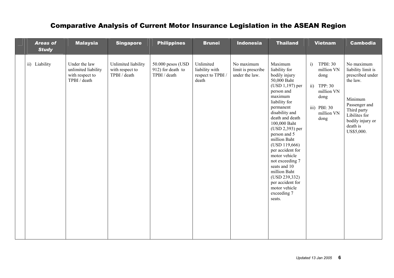| <b>Areas of</b><br><b>Study</b> | <b>Malaysia</b>                                                         | <b>Singapore</b>                                       | <b>Philippines</b>                                     | <b>Brunei</b>                                            | <b>Indonesia</b>                                   | <b>Thailand</b>                                                                                                                                                                                                                                                                                                                                                                                                                        | <b>Vietnam</b>                                                                                                                          | <b>Cambodia</b>                                                                                                                                                            |
|---------------------------------|-------------------------------------------------------------------------|--------------------------------------------------------|--------------------------------------------------------|----------------------------------------------------------|----------------------------------------------------|----------------------------------------------------------------------------------------------------------------------------------------------------------------------------------------------------------------------------------------------------------------------------------------------------------------------------------------------------------------------------------------------------------------------------------------|-----------------------------------------------------------------------------------------------------------------------------------------|----------------------------------------------------------------------------------------------------------------------------------------------------------------------------|
| ii) Liability                   | Under the law<br>unlimited liability<br>with respect to<br>TPBI / death | Unlimited liability<br>with respect to<br>TPBI / death | 50.000 pesos (USD<br>912) for death to<br>TPBI / death | Unlimited<br>liability with<br>respect to TPBI/<br>death | No maximum<br>limit is prescribe<br>under the law. | Maximum<br>liability for<br>bodily injury<br>50,000 Baht<br>$(USD 1,197)$ per<br>person and<br>maximum<br>liability for<br>permanent<br>disability and<br>death and death<br>100,000 Baht<br>$(USD 2,393)$ per<br>person and 5<br>million Baht<br>(USD 119,666)<br>per accident for<br>motor vehicle<br>not exceeding 7<br>seats and 10<br>million Baht<br>(USD 239,332)<br>per accident for<br>motor vehicle<br>exceeding 7<br>seats. | <b>TPBI: 30</b><br>i)<br>million VN<br>dong<br>TPP: 30<br>$\overline{ii}$ )<br>million VN<br>dong<br>iii) PBI: 30<br>million VN<br>dong | No maximum<br>liability limit is<br>prescribed under<br>the law.<br>Minimum<br>Passenger and<br>Third party<br>Libilites for<br>bodily injury or<br>death is<br>US\$5,000. |